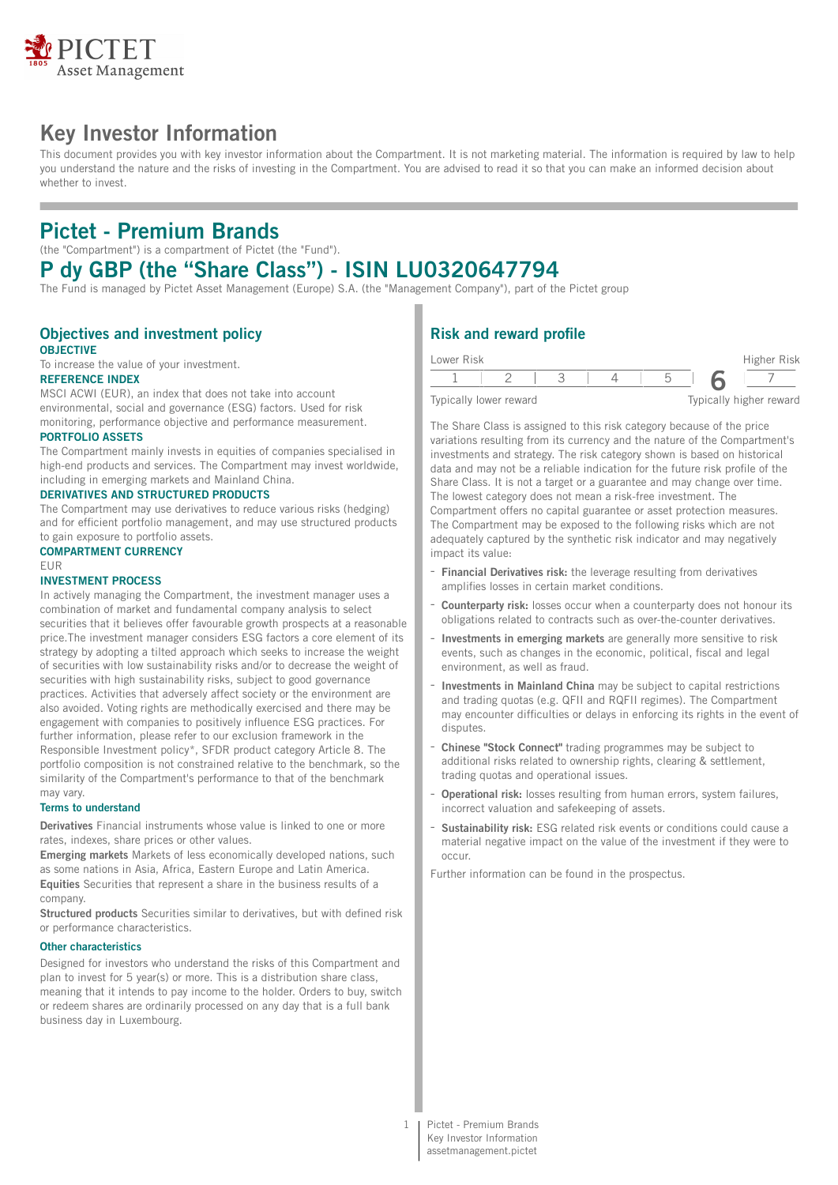

# **Key Investor Information**

This document provides you with key investor information about the Compartment. It is not marketing material. The information is required by law to help you understand the nature and the risks of investing in the Compartment. You are advised to read it so that you can make an informed decision about whether to invest.

# **Pictet - Premium Brands**

(the "Compartment") is a compartment of Pictet (the "Fund").

# **P dy GBP (the "Share Class") - ISIN LU0320647794**

The Fund is managed by Pictet Asset Management (Europe) S.A. (the "Management Company"), part of the Pictet group

### **Objectives and investment policy OBJECTIVE**

To increase the value of your investment.

## **REFERENCE INDEX**

MSCI ACWI (EUR), an index that does not take into account environmental, social and governance (ESG) factors. Used for risk monitoring, performance objective and performance measurement.

### **PORTFOLIO ASSETS**

The Compartment mainly invests in equities of companies specialised in high-end products and services. The Compartment may invest worldwide, including in emerging markets and Mainland China.

#### **DERIVATIVES AND STRUCTURED PRODUCTS**

The Compartment may use derivatives to reduce various risks (hedging) and for efficient portfolio management, and may use structured products to gain exposure to portfolio assets.

#### **COMPARTMENT CURRENCY**

EUR

## **INVESTMENT PROCESS**

In actively managing the Compartment, the investment manager uses a combination of market and fundamental company analysis to select securities that it believes offer favourable growth prospects at a reasonable price.The investment manager considers ESG factors a core element of its strategy by adopting a tilted approach which seeks to increase the weight of securities with low sustainability risks and/or to decrease the weight of securities with high sustainability risks, subject to good governance practices. Activities that adversely affect society or the environment are also avoided. Voting rights are methodically exercised and there may be engagement with companies to positively influence ESG practices. For further information, please refer to our exclusion framework in the Responsible Investment policy\*, SFDR product category Article 8. The portfolio composition is not constrained relative to the benchmark, so the similarity of the Compartment's performance to that of the benchmark may vary.

### **Terms to understand**

**Derivatives** Financial instruments whose value is linked to one or more rates, indexes, share prices or other values.

**Emerging markets** Markets of less economically developed nations, such as some nations in Asia, Africa, Eastern Europe and Latin America. **Equities** Securities that represent a share in the business results of a company.

**Structured products** Securities similar to derivatives, but with defined risk or performance characteristics.

#### **Other characteristics**

Designed for investors who understand the risks of this Compartment and plan to invest for 5 year(s) or more. This is a distribution share class, meaning that it intends to pay income to the holder. Orders to buy, switch or redeem shares are ordinarily processed on any day that is a full bank business day in Luxembourg.

## **Risk and reward profile**

| Lower Risk             |  |  | Higher Risk             |
|------------------------|--|--|-------------------------|
|                        |  |  |                         |
| Typically lower reward |  |  | Typically higher reward |

The Share Class is assigned to this risk category because of the price variations resulting from its currency and the nature of the Compartment's investments and strategy. The risk category shown is based on historical data and may not be a reliable indication for the future risk profile of the Share Class. It is not a target or a guarantee and may change over time. The lowest category does not mean a risk-free investment. The Compartment offers no capital guarantee or asset protection measures. The Compartment may be exposed to the following risks which are not adequately captured by the synthetic risk indicator and may negatively impact its value:

- **Financial Derivatives risk:** the leverage resulting from derivatives amplifies losses in certain market conditions.
- **Counterparty risk:** losses occur when a counterparty does not honour its obligations related to contracts such as over-the-counter derivatives.
- **Investments in emerging markets** are generally more sensitive to risk events, such as changes in the economic, political, fiscal and legal environment, as well as fraud.
- **Investments in Mainland China** may be subject to capital restrictions and trading quotas (e.g. QFII and RQFII regimes). The Compartment may encounter difficulties or delays in enforcing its rights in the event of disputes.
- **Chinese "Stock Connect"** trading programmes may be subject to additional risks related to ownership rights, clearing & settlement, trading quotas and operational issues.
- **Operational risk:** losses resulting from human errors, system failures, incorrect valuation and safekeeping of assets.
- **Sustainability risk:** ESG related risk events or conditions could cause a material negative impact on the value of the investment if they were to occur.

Further information can be found in the prospectus.